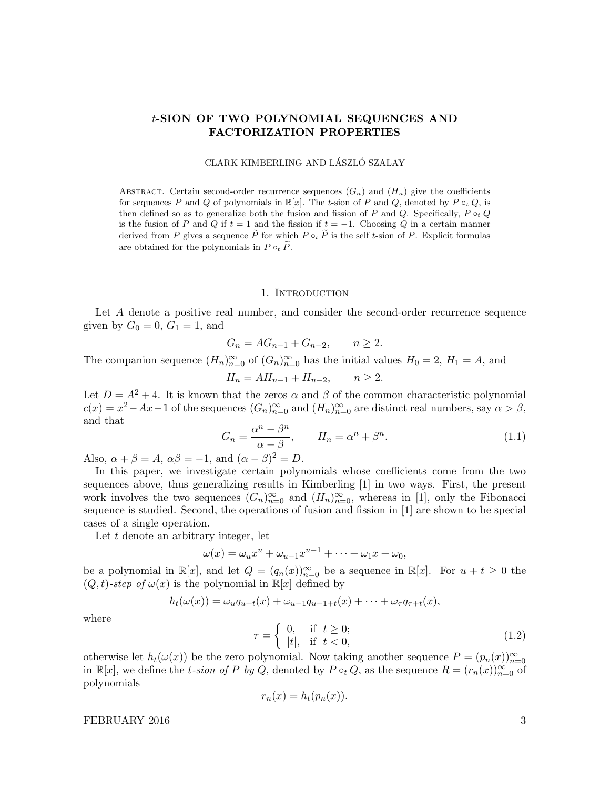# t-SION OF TWO POLYNOMIAL SEQUENCES AND FACTORIZATION PROPERTIES

CLARK KIMBERLING AND LÁSZLÓ SZALAY

ABSTRACT. Certain second-order recurrence sequences  $(G_n)$  and  $(H_n)$  give the coefficients for sequences P and Q of polynomials in  $\mathbb{R}[x]$ . The t-sion of P and Q, denoted by P  $\circ_t Q$ , is then defined so as to generalize both the fusion and fission of P and Q. Specifically,  $P \circ_t Q$ is the fusion of P and Q if  $t = 1$  and the fission if  $t = -1$ . Choosing Q in a certain manner derived from P gives a sequence  $\widetilde{P}$  for which  $P \circ_t \widetilde{P}$  is the self t-sion of P. Explicit formulas are obtained for the polynomials in  $P \circ_t \tilde{P}$ .

#### 1. INTRODUCTION

Let A denote a positive real number, and consider the second-order recurrence sequence given by  $G_0 = 0, G_1 = 1,$  and

$$
G_n = AG_{n-1} + G_{n-2}, \qquad n \ge 2.
$$

The companion sequence  $(H_n)_{n=0}^{\infty}$  of  $(G_n)_{n=0}^{\infty}$  has the initial values  $H_0 = 2$ ,  $H_1 = A$ , and

$$
H_n = AH_{n-1} + H_{n-2}, \qquad n \ge 2.
$$

Let  $D = A^2 + 4$ . It is known that the zeros  $\alpha$  and  $\beta$  of the common characteristic polynomial  $c(x) = x^2 - Ax - 1$  of the sequences  $(G_n)_{n=0}^{\infty}$  and  $(H_n)_{n=0}^{\infty}$  are distinct real numbers, say  $\alpha > \beta$ , and that

$$
G_n = \frac{\alpha^n - \beta^n}{\alpha - \beta}, \qquad H_n = \alpha^n + \beta^n. \tag{1.1}
$$

Also,  $\alpha + \beta = A$ ,  $\alpha\beta = -1$ , and  $(\alpha - \beta)^2 = D$ .

In this paper, we investigate certain polynomials whose coefficients come from the two sequences above, thus generalizing results in Kimberling [1] in two ways. First, the present work involves the two sequences  $(G_n)_{n=0}^{\infty}$  and  $(H_n)_{n=0}^{\infty}$ , whereas in [1], only the Fibonacci sequence is studied. Second, the operations of fusion and fission in [1] are shown to be special cases of a single operation.

Let  $t$  denote an arbitrary integer, let

$$
\omega(x) = \omega_u x^u + \omega_{u-1} x^{u-1} + \dots + \omega_1 x + \omega_0,
$$

be a polynomial in  $\mathbb{R}[x]$ , and let  $Q = (q_n(x))_{n=0}^{\infty}$  be a sequence in  $\mathbb{R}[x]$ . For  $u + t \geq 0$  the  $(Q, t)$ -step of  $\omega(x)$  is the polynomial in  $\mathbb{R}[x]$  defined by

$$
h_t(\omega(x)) = \omega_u q_{u+t}(x) + \omega_{u-1} q_{u-1+t}(x) + \cdots + \omega_\tau q_{\tau+t}(x),
$$

where

$$
\tau = \begin{cases} 0, & \text{if } t \ge 0; \\ |t|, & \text{if } t < 0, \end{cases}
$$
 (1.2)

otherwise let  $h_t(\omega(x))$  be the zero polynomial. Now taking another sequence  $P = (p_n(x))_{n=0}^{\infty}$ in  $\mathbb{R}[x]$ , we define the t-sion of P by Q, denoted by  $P \circ_t Q$ , as the sequence  $R = (r_n(x))_{n=0}^{\infty}$  of polynomials

$$
r_n(x) = h_t(p_n(x)).
$$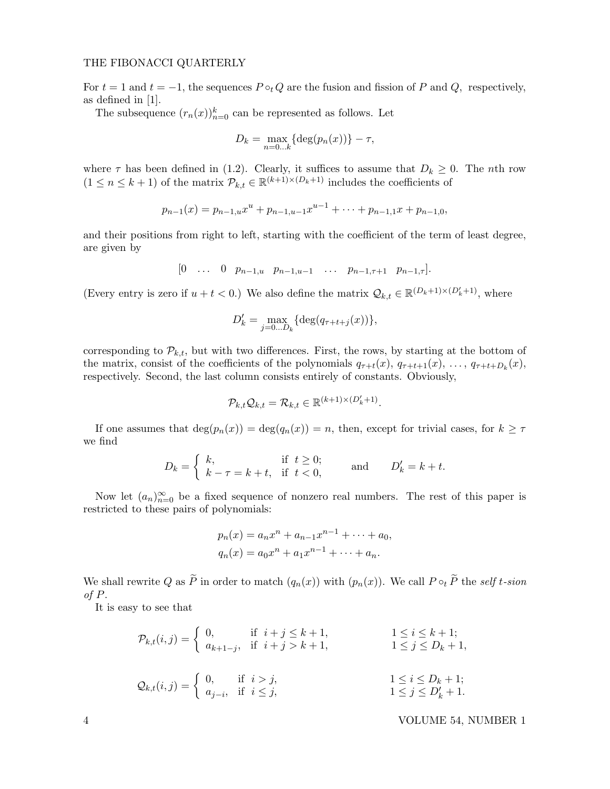For  $t = 1$  and  $t = -1$ , the sequences  $P \circ_t Q$  are the fusion and fission of P and Q, respectively, as defined in [1].

The subsequence  $(r_n(x))_{n=0}^k$  can be represented as follows. Let

$$
D_k = \max_{n=0...k} \{ \deg(p_n(x)) \} - \tau,
$$

where  $\tau$  has been defined in (1.2). Clearly, it suffices to assume that  $D_k \geq 0$ . The *n*th row  $(1 \leq n \leq k+1)$  of the matrix  $\mathcal{P}_{k,t} \in \mathbb{R}^{(k+1)\times(D_k+1)}$  includes the coefficients of

$$
p_{n-1}(x) = p_{n-1,u}x^{u} + p_{n-1,u-1}x^{u-1} + \cdots + p_{n-1,1}x + p_{n-1,0},
$$

and their positions from right to left, starting with the coefficient of the term of least degree, are given by

$$
[0 \quad \dots \quad 0 \quad p_{n-1,u} \quad p_{n-1,u-1} \quad \dots \quad p_{n-1,\tau+1} \quad p_{n-1,\tau}].
$$

(Every entry is zero if  $u + t < 0$ .) We also define the matrix  $\mathcal{Q}_{k,t} \in \mathbb{R}^{(D_k+1)\times(D'_k+1)}$ , where

$$
D'_{k} = \max_{j=0...D_{k}} \{ \deg(q_{\tau+t+j}(x)) \},\,
$$

corresponding to  $\mathcal{P}_{k,t}$ , but with two differences. First, the rows, by starting at the bottom of the matrix, consist of the coefficients of the polynomials  $q_{\tau+t}(x)$ ,  $q_{\tau+t+1}(x)$ , ...,  $q_{\tau+t+D_k}(x)$ , respectively. Second, the last column consists entirely of constants. Obviously,

$$
\mathcal{P}_{k,t}\mathcal{Q}_{k,t} = \mathcal{R}_{k,t} \in \mathbb{R}^{(k+1)\times(D'_k+1)}
$$

.

If one assumes that  $\deg(p_n(x)) = \deg(q_n(x)) = n$ , then, except for trivial cases, for  $k \geq \tau$ we find

$$
D_k = \begin{cases} k, & \text{if } t \ge 0; \\ k - \tau = k + t, & \text{if } t < 0, \end{cases} \qquad \text{and} \qquad D'_k = k + t.
$$

Now let  $(a_n)_{n=0}^{\infty}$  be a fixed sequence of nonzero real numbers. The rest of this paper is restricted to these pairs of polynomials:

$$
p_n(x) = a_n x^n + a_{n-1} x^{n-1} + \dots + a_0,
$$
  

$$
q_n(x) = a_0 x^n + a_1 x^{n-1} + \dots + a_n.
$$

We shall rewrite Q as  $\tilde{P}$  in order to match  $(q_n(x))$  with  $(p_n(x))$ . We call  $P \circ_t \tilde{P}$  the self t-sion of P.

It is easy to see that

$$
\mathcal{P}_{k,t}(i,j) = \begin{cases}\n0, & \text{if } i+j \le k+1, \\
a_{k+1-j}, & \text{if } i+j > k+1, \\
1 \le j \le D_k + 1,\n\end{cases}
$$
\n
$$
\mathcal{Q}_{k,t}(i,j) = \begin{cases}\n0, & \text{if } i > j, \\
a_{j-i}, & \text{if } i \le j,\n\end{cases}
$$
\n
$$
1 \le i \le D_k + 1;
$$
\n
$$
1 \le j \le D'_k + 1.
$$

4 VOLUME 54, NUMBER 1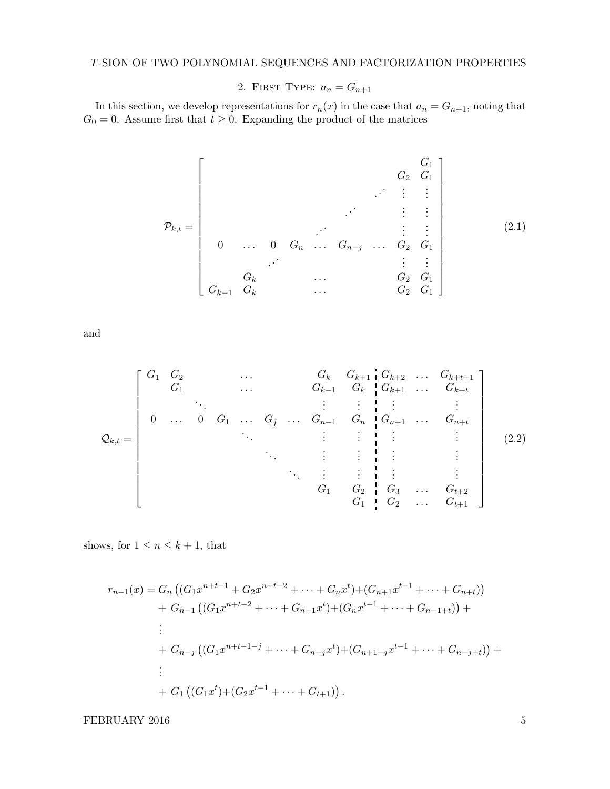# T-SION OF TWO POLYNOMIAL SEQUENCES AND FACTORIZATION PROPERTIES

2. FIRST TYPE:  $a_n = G_{n+1}$ 

In this section, we develop representations for  $r_n(x)$  in the case that  $a_n = G_{n+1}$ , noting that  $G_0 = 0$ . Assume first that  $t \geq 0$ . Expanding the product of the matrices

Pk,t = G<sup>1</sup> G<sup>2</sup> G<sup>1</sup> . . . . . . . . . . . . . . . . . . . . . . . . . . . 0 . . . 0 G<sup>n</sup> . . . Gn−<sup>j</sup> . . . G<sup>2</sup> G<sup>1</sup> . . . . . . . . . G<sup>k</sup> . . . G<sup>2</sup> G<sup>1</sup> Gk+1 G<sup>k</sup> . . . G<sup>2</sup> G<sup>1</sup> (2.1)

and

$$
Q_{k,t} = \begin{bmatrix} G_1 & G_2 & & & & G_k & G_{k+1} & G_{k+2} & \dots & G_{k+t+1} \\ G_1 & & \dots & & G_{k-1} & G_k & G_{k+1} & \dots & G_{k+t} \\ & \vdots & \vdots & \vdots & \vdots & \vdots & \vdots \\ 0 & \dots & 0 & G_1 & \dots & G_j & \dots & G_{n-1} & G_n & G_{n+1} & \dots & G_{n+t} \\ & \ddots & & \vdots & \vdots & \vdots & \vdots & \vdots & \vdots \\ & & & & & \vdots & \vdots & \vdots & \vdots \\ & & & & & & \vdots & \vdots & \vdots \\ & & & & & & & \vdots & \vdots \\ & & & & & & & G_1 & G_2 & G_3 & \dots & G_{t+2} \\ & & & & & & & & G_1 & G_2 & \dots & G_{t+1} \end{bmatrix}
$$
(2.2)

shows, for  $1\leq n\leq k+1,$  that

$$
r_{n-1}(x) = G_n ((G_1 x^{n+t-1} + G_2 x^{n+t-2} + \dots + G_n x^t) + (G_{n+1} x^{t-1} + \dots + G_{n+t}))
$$
  
+ 
$$
G_{n-1} ((G_1 x^{n+t-2} + \dots + G_{n-1} x^t) + (G_n x^{t-1} + \dots + G_{n-1+t})) +
$$
  
:  
+ 
$$
G_{n-j} ((G_1 x^{n+t-1-j} + \dots + G_{n-j} x^t) + (G_{n+1-j} x^{t-1} + \dots + G_{n-j+t})) +
$$
  
:  
+ 
$$
G_1 ((G_1 x^t) + (G_2 x^{t-1} + \dots + G_{t+1})).
$$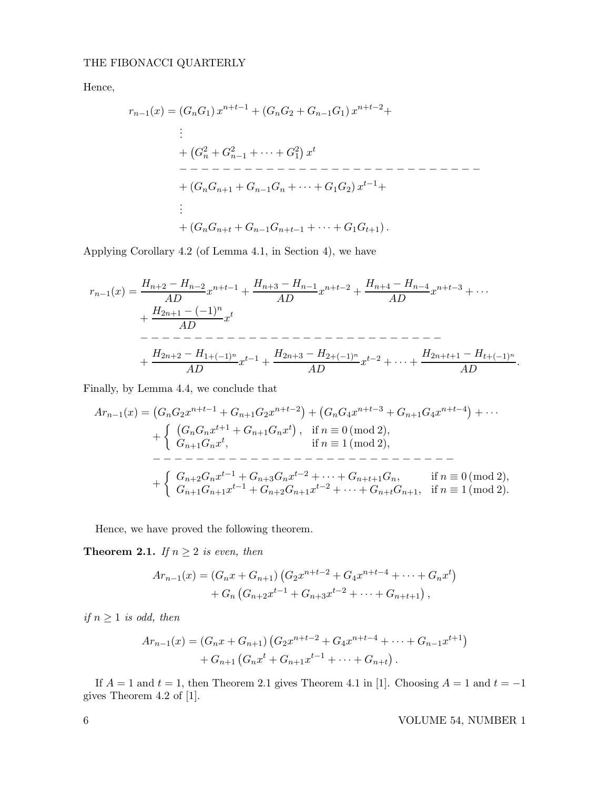Hence,

rn−1(x) = (GnG1) x <sup>n</sup>+t−<sup>1</sup> + (GnG<sup>2</sup> <sup>+</sup> <sup>G</sup>n−1G1) <sup>x</sup> <sup>n</sup>+t−2+ . . . + G 2 <sup>n</sup> + G 2 <sup>n</sup>−<sup>1</sup> + · · · + G 2 1 x t − − − − − − − − − − − − − − − − − − − − − − − − − − − − + (GnGn+1 + Gn−1G<sup>n</sup> + · · · + G1G2) x <sup>t</sup>−1+ . . . + (GnGn+<sup>t</sup> + Gn−1Gn+t−<sup>1</sup> + · · · + G1Gt+1).

Applying Corollary 4.2 (of Lemma 4.1, in Section 4), we have

<sup>r</sup>n−1(x) = <sup>H</sup>n+2 <sup>−</sup> <sup>H</sup>n−<sup>2</sup> AD <sup>x</sup> <sup>n</sup>+t−<sup>1</sup> + Hn+3 − Hn−<sup>1</sup> AD <sup>x</sup> <sup>n</sup>+t−<sup>2</sup> + Hn+4 − Hn−<sup>4</sup> AD <sup>x</sup> <sup>n</sup>+t−<sup>3</sup> + · · · + H2n+1 − (−1)<sup>n</sup> AD <sup>x</sup> t − − − − − − − − − − − − − − − − − − − − − − − − − − − − + H2n+2 − H1+(−1)<sup>n</sup> AD <sup>x</sup> <sup>t</sup>−<sup>1</sup> + H2n+3 − H2+(−1)<sup>n</sup> AD <sup>x</sup> <sup>t</sup>−<sup>2</sup> + · · · + H2n+t+1 − Ht+(−1)<sup>n</sup> AD .

Finally, by Lemma 4.4, we conclude that

Arn−1(x) = GnG2x <sup>n</sup>+t−<sup>1</sup> <sup>+</sup> <sup>G</sup>n+1G2<sup>x</sup> n+t−2 + GnG4x <sup>n</sup>+t−<sup>3</sup> <sup>+</sup> <sup>G</sup>n+1G4<sup>x</sup> n+t−4 + · · · + GnGnx <sup>t</sup>+1 + Gn+1Gnx t , if n ≡ 0 (mod 2), Gn+1Gnx t , if n ≡ 1 (mod 2), − − − − − − − − − − − − − − − − − − − − − − − − − − − − + Gn+2Gnx <sup>t</sup>−<sup>1</sup> + Gn+3Gnx <sup>t</sup>−<sup>2</sup> + · · · + Gn+t+1Gn, if n ≡ 0 (mod 2), Gn+1Gn+1x <sup>t</sup>−<sup>1</sup> + Gn+2Gn+1x <sup>t</sup>−<sup>2</sup> + · · · + Gn+tGn+1, if n ≡ 1 (mod 2).

Hence, we have proved the following theorem.

**Theorem 2.1.** If  $n \geq 2$  is even, then

$$
Ar_{n-1}(x) = (G_n x + G_{n+1}) (G_2 x^{n+t-2} + G_4 x^{n+t-4} + \dots + G_n x^t) + G_n (G_{n+2} x^{t-1} + G_{n+3} x^{t-2} + \dots + G_{n+t+1}),
$$

if  $n \geq 1$  is odd, then

$$
Ar_{n-1}(x) = (G_n x + G_{n+1}) (G_2 x^{n+t-2} + G_4 x^{n+t-4} + \dots + G_{n-1} x^{t+1})
$$
  
+ 
$$
G_{n+1} (G_n x^t + G_{n+1} x^{t-1} + \dots + G_{n+t}).
$$

If  $A = 1$  and  $t = 1$ , then Theorem 2.1 gives Theorem 4.1 in [1]. Choosing  $A = 1$  and  $t = -1$ gives Theorem 4.2 of [1].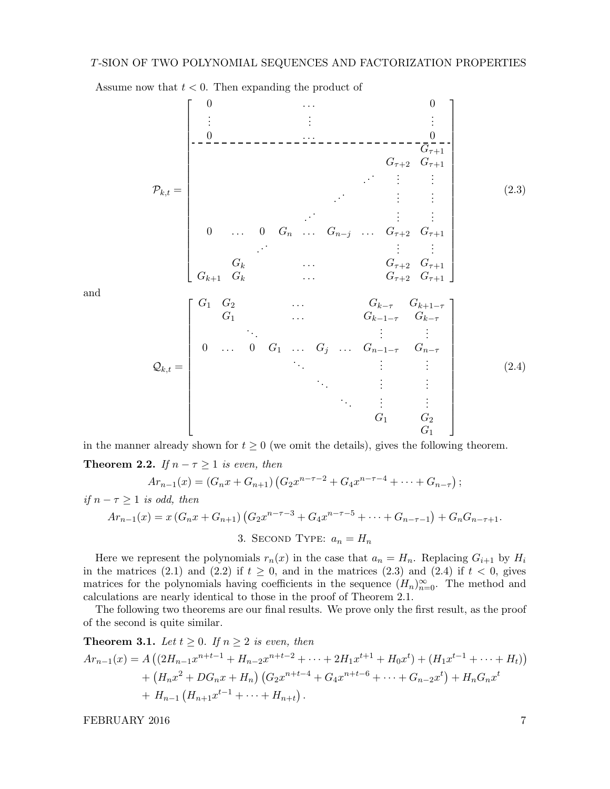Pk,t = 0 . . . 0 . . . . . . . . . 0 . . . 0 Gτ+1 Gτ+2 Gτ+1 . . . . . . . . . . . . . . . . . . . . . . . . . . . 0 . . . 0 G<sup>n</sup> . . . Gn−<sup>j</sup> . . . Gτ+2 Gτ+1 . . . . . . . . . G<sup>k</sup> . . . Gτ+2 Gτ+1 Gk+1 G<sup>k</sup> . . . Gτ+2 Gτ+1 (2.3) Qk,t = G<sup>1</sup> G<sup>2</sup> . . . Gk−<sup>τ</sup> Gk+1−<sup>τ</sup> G<sup>1</sup> . . . Gk−1−<sup>τ</sup> Gk−<sup>τ</sup> . . . . . . . . . 0 . . . 0 G<sup>1</sup> . . . G<sup>j</sup> . . . Gn−1−<sup>τ</sup> Gn−<sup>τ</sup> . . . . . . . . . . . . . . . . . . . . . . . . . . . G<sup>1</sup> G<sup>2</sup> G<sup>1</sup> (2.4)

Assume now that  $t < 0$ . Then expanding the product of

and

in the manner already shown for  $t \geq 0$  (we omit the details), gives the following theorem.

**Theorem 2.2.** If  $n - \tau \geq 1$  is even, then

$$
Ar_{n-1}(x) = (G_n x + G_{n+1})(G_2 x^{n-\tau-2} + G_4 x^{n-\tau-4} + \cdots + G_{n-\tau});
$$

if 
$$
n - \tau \ge 1
$$
 is odd, then  
\n
$$
Ar_{n-1}(x) = x(G_n x + G_{n+1}) (G_2 x^{n-\tau-3} + G_4 x^{n-\tau-5} + \dots + G_{n-\tau-1}) + G_n G_{n-\tau+1}.
$$
\n3. SECOND Type:  $a_n = H_n$ 

Here we represent the polynomials  $r_n(x)$  in the case that  $a_n = H_n$ . Replacing  $G_{i+1}$  by  $H_i$ in the matrices (2.1) and (2.2) if  $t \geq 0$ , and in the matrices (2.3) and (2.4) if  $t < 0$ , gives matrices for the polynomials having coefficients in the sequence  $(H_n)_{n=0}^{\infty}$ . The method and calculations are nearly identical to those in the proof of Theorem 2.1.

The following two theorems are our final results. We prove only the first result, as the proof of the second is quite similar.

**Theorem 3.1.** Let 
$$
t \ge 0
$$
. If  $n \ge 2$  is even, then  
\n
$$
Ar_{n-1}(x) = A \left( (2H_{n-1}x^{n+t-1} + H_{n-2}x^{n+t-2} + \dots + 2H_1x^{t+1} + H_0x^t) + (H_1x^{t-1} + \dots + H_t) \right) + (H_nx^2 + DG_nx + H_n) \left( G_2x^{n+t-4} + G_4x^{n+t-6} + \dots + G_{n-2}x^t \right) + H_nG_nx^t + H_{n-1} \left( H_{n+1}x^{t-1} + \dots + H_{n+t} \right).
$$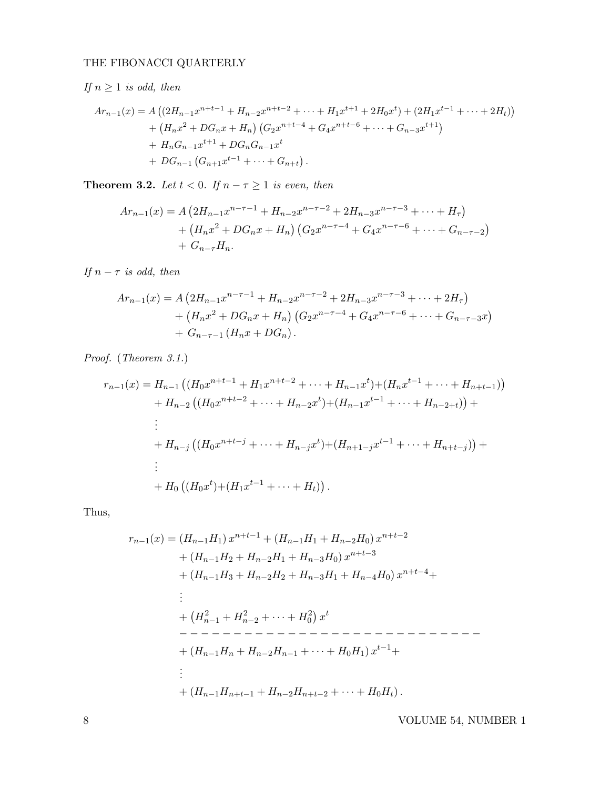If  $n \geq 1$  is odd, then

$$
Ar_{n-1}(x) = A \left( \left( 2H_{n-1}x^{n+t-1} + H_{n-2}x^{n+t-2} + \cdots + H_1x^{t+1} + 2H_0x^t \right) + \left( 2H_1x^{t-1} + \cdots + 2H_t \right) \right) + \left( H_nx^2 + DG_nx + H_n \right) \left( G_2x^{n+t-4} + G_4x^{n+t-6} + \cdots + G_{n-3}x^{t+1} \right) + H_nG_{n-1}x^{t+1} + DG_nG_{n-1}x^t + DG_{n-1} \left( G_{n+1}x^{t-1} + \cdots + G_{n+t} \right).
$$

**Theorem 3.2.** Let  $t < 0$ . If  $n - \tau \geq 1$  is even, then

$$
Ar_{n-1}(x) = A \left(2H_{n-1}x^{n-\tau-1} + H_{n-2}x^{n-\tau-2} + 2H_{n-3}x^{n-\tau-3} + \cdots + H_{\tau}\right) + \left(H_{n}x^{2} + DG_{n}x + H_{n}\right)\left(G_{2}x^{n-\tau-4} + G_{4}x^{n-\tau-6} + \cdots + G_{n-\tau-2}\right) + G_{n-\tau}H_{n}.
$$

If  $n - \tau$  is odd, then

$$
Ar_{n-1}(x) = A \left( 2H_{n-1}x^{n-\tau-1} + H_{n-2}x^{n-\tau-2} + 2H_{n-3}x^{n-\tau-3} + \dots + 2H_{\tau} \right)
$$
  
+ 
$$
\left( H_n x^2 + DG_n x + H_n \right) \left( G_2 x^{n-\tau-4} + G_4 x^{n-\tau-6} + \dots + G_{n-\tau-3} x \right)
$$
  
+ 
$$
G_{n-\tau-1} \left( H_n x + DG_n \right).
$$

Proof. (Theorem 3.1.)

$$
r_{n-1}(x) = H_{n-1} \left( (H_0 x^{n+t-1} + H_1 x^{n+t-2} + \dots + H_{n-1} x^t) + (H_n x^{t-1} + \dots + H_{n+t-1}) \right)
$$
  
+  $H_{n-2} \left( (H_0 x^{n+t-2} + \dots + H_{n-2} x^t) + (H_{n-1} x^{t-1} + \dots + H_{n-2+t}) \right) +$   
:  
+  $H_{n-j} \left( (H_0 x^{n+t-j} + \dots + H_{n-j} x^t) + (H_{n+1-j} x^{t-1} + \dots + H_{n+t-j}) \right) +$   
:  
+  $H_0 \left( (H_0 x^t) + (H_1 x^{t-1} + \dots + H_t) \right).$ 

Thus,

rn−1(x) = (Hn−1H1) x <sup>n</sup>+t−<sup>1</sup> + (Hn−1H<sup>1</sup> <sup>+</sup> <sup>H</sup>n−2H0) <sup>x</sup> n+t−2 + (Hn−1H<sup>2</sup> + Hn−2H<sup>1</sup> + Hn−3H0) x n+t−3 + (Hn−1H<sup>3</sup> + Hn−2H<sup>2</sup> + Hn−3H<sup>1</sup> + Hn−4H0) x <sup>n</sup>+t−4+ . . . + H 2 <sup>n</sup>−<sup>1</sup> + H 2 <sup>n</sup>−<sup>2</sup> + · · · + H 2 0 x t − − − − − − − − − − − − − − − − − − − − − − − − − − − − + (Hn−1H<sup>n</sup> + Hn−2Hn−<sup>1</sup> + · · · + H0H1) x <sup>t</sup>−1+ . . . + (Hn−1Hn+t−<sup>1</sup> + Hn−2Hn+t−<sup>2</sup> + · · · + H0Ht).

8 VOLUME 54, NUMBER 1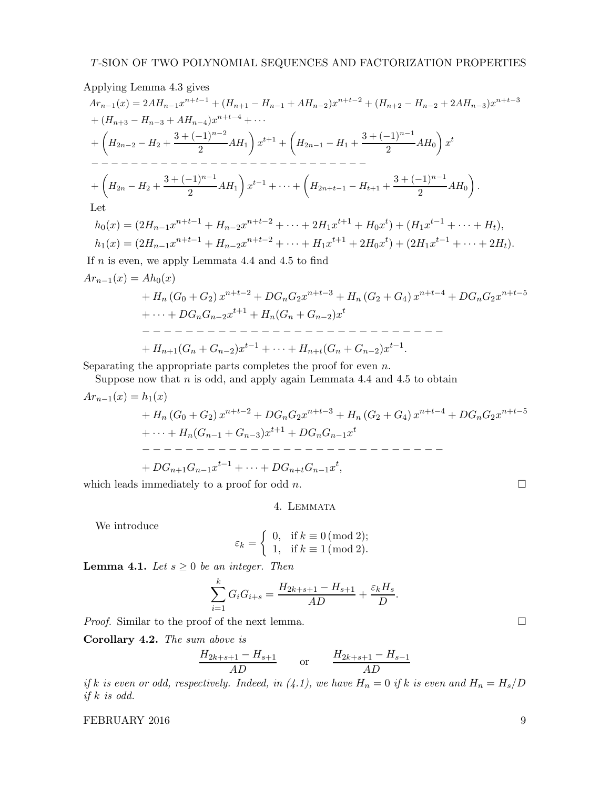Applying Lemma 4.3 gives Arn−1(x) = 2AHn−1x <sup>n</sup>+t−<sup>1</sup> + (H<sup>n</sup>+1 − Hn−<sup>1</sup> + AHn−2)x <sup>n</sup>+t−<sup>2</sup> + (H<sup>n</sup>+2 − Hn−<sup>2</sup> + 2AHn−3)x n+t−3 + (H<sup>n</sup>+3 − Hn−3 + AHn−4)x <sup>n</sup>+t−<sup>4</sup> + · · · + H2n−2 − H2 + 3 + (−1)<sup>n</sup>−<sup>2</sup> 2 AH1 x <sup>t</sup>+1 + H2n−1 − H1 + 3 + (−1)<sup>n</sup>−<sup>1</sup> 2 AH0 x t − − − − − − − − − − − − − − − − − − − − − − − − − − − − + H2<sup>n</sup> − H2 + 3 + (−1)<sup>n</sup>−<sup>1</sup> 2 AH1 x <sup>t</sup>−<sup>1</sup> + · · · + H2n+t−1 − H<sup>t</sup>+1 + 3 + (−1)<sup>n</sup>−<sup>1</sup> 2 AH0 . Let

$$
h_0(x) = (2H_{n-1}x^{n+t-1} + H_{n-2}x^{n+t-2} + \dots + 2H_1x^{t+1} + H_0x^t) + (H_1x^{t-1} + \dots + H_t),
$$
  
\n
$$
h_1(x) = (2H_{n-1}x^{n+t-1} + H_{n-2}x^{n+t-2} + \dots + H_1x^{t+1} + 2H_0x^t) + (2H_1x^{t-1} + \dots + 2H_t).
$$

If  $n$  is even, we apply Lemmata 4.4 and 4.5 to find

$$
Ar_{n-1}(x) = Ah_0(x)
$$
  
+  $H_n(G_0 + G_2) x^{n+t-2} + DG_n G_2 x^{n+t-3} + H_n(G_2 + G_4) x^{n+t-4} + DG_n G_2 x^{n+t-5}$   
+  $\cdots + DG_n G_{n-2} x^{t+1} + H_n(G_n + G_{n-2}) x^t$   
-  $\cdots$  -  $\cdots$  -  $\cdots$  -  $\cdots$  -  $\cdots$  -  $\cdots$  -  $\cdots$  -  $\cdots$  -  $\cdots$  -  $\cdots$  -  $\cdots$  -  $\cdots$  -  $\cdots$  -  $\cdots$  -  $\cdots$  -  $\cdots$  -  $\cdots$  -  $\cdots$  -  $\cdots$  -  $\cdots$  -  $\cdots$  -  $\cdots$  -  $\cdots$  -  $\cdots$  -  $\cdots$  -  $\cdots$  -  $\cdots$  -  $\cdots$  -  $\cdots$  -  $\cdots$  -  $\cdots$  -  $\cdots$  -  $\cdots$  -  $\cdots$  -  $\cdots$  -  $\cdots$  -  $\cdots$  -  $\cdots$  -  $\cdots$  -  $\cdots$  -  $\cdots$  -  $\cdots$  -  $\cdots$  -  $\cdots$  -  $\cdots$  -  $\cdots$  -  $\cdots$  -  $\cdots$  -  $\cdots$  -  $\cdots$  -  $\cdots$  -  $\cdots$  -  $\cdots$  -  $\cdots$  -  $\cdots$  -  $\cdots$  -  $\cdots$  -  $\cdots$  -  $\cdots$  -  $\cdots$  -  $\cdots$  -  $\cdots$  -  $\cdots$  -  $\cdots$  -  $\cdots$  -  $\cdots$  -  $\cdots$  -  $\cdots$  -  $\cdots$  -  $\cdots$  -  $\cd$ 

Separating the appropriate parts completes the proof for even  $n$ .

Suppose now that  $n$  is odd, and apply again Lemmata 4.4 and 4.5 to obtain

$$
Ar_{n-1}(x) = h_1(x)
$$
  
+  $H_n(G_0 + G_2) x^{n+t-2} + DG_n G_2 x^{n+t-3} + H_n(G_2 + G_4) x^{n+t-4} + DG_n G_2 x^{n+t-5}$   
+  $\cdots + H_n(G_{n-1} + G_{n-3}) x^{t+1} + DG_n G_{n-1} x^t$   
-  $\cdots$  -  $\cdots$  -  $\cdots$  -  $\cdots$  -  $\cdots$  -  $\cdots$  -  $\cdots$  -  $\cdots$  -  $\cdots$  -  $\cdots$  -  $\cdots$  -  $\cdots$  -  $\cdots$  -  $\cdots$  -  $\cdots$  -  $\cdots$  -  $\cdots$  -  $\cdots$  -  $\cdots$  -  $\cdots$  -  $\cdots$  -  $\cdots$  -  $\cdots$  -  $\cdots$  -  $\cdots$  -  $\cdots$  -  $\cdots$  -  $\cdots$  -  $\cdots$  -  $\cdots$  -  $\cdots$  -  $\cdots$  -  $\cdots$  -  $\cdots$  -  $\cdots$  -  $\cdots$  -  $\cdots$  -  $\cdots$  -  $\cdots$  -  $\cdots$  -  $\cdots$  -  $\cdots$  -  $\cdots$  -  $\cdots$  -  $\cdots$  -  $\cdots$  -  $\cdots$  -  $\cdots$  -  $\cdots$  -  $\cdots$  -  $\cdots$  -  $\cdots$  -  $\cdots$  -  $\cdots$  -  $\cdots$  -  $\cdots$  -  $\cdots$  -  $\cdots$  -  $\cdots$  -  $\cdots$  -  $\cdots$  -  $\cdots$  -  $\cdots$  -  $\cdots$  -  $\cdots$  -  $\cdots$  -  $\cdots$  -  $\cdots$  -  $\cdots$  -  $\cdots$  -

which leads immediately to a proof for odd n.  $\square$ 

## 4. Lemmata

We introduce

$$
\varepsilon_k = \begin{cases} 0, & \text{if } k \equiv 0 \, (\text{mod } 2); \\ 1, & \text{if } k \equiv 1 \, (\text{mod } 2). \end{cases}
$$

**Lemma 4.1.** Let  $s \geq 0$  be an integer. Then

$$
\sum_{i=1}^{k} G_i G_{i+s} = \frac{H_{2k+s+1} - H_{s+1}}{AD} + \frac{\varepsilon_k H_s}{D}.
$$

*Proof.* Similar to the proof of the next lemma.  $\Box$ 

Corollary 4.2. The sum above is

$$
\frac{H_{2k+s+1} - H_{s+1}}{AD} \qquad \text{or} \qquad \frac{H_{2k+s+1} - H_{s-1}}{AD}
$$

if k is even or odd, respectively. Indeed, in (4.1), we have  $H_n = 0$  if k is even and  $H_n = H_s/D$ if  $k$  is odd.